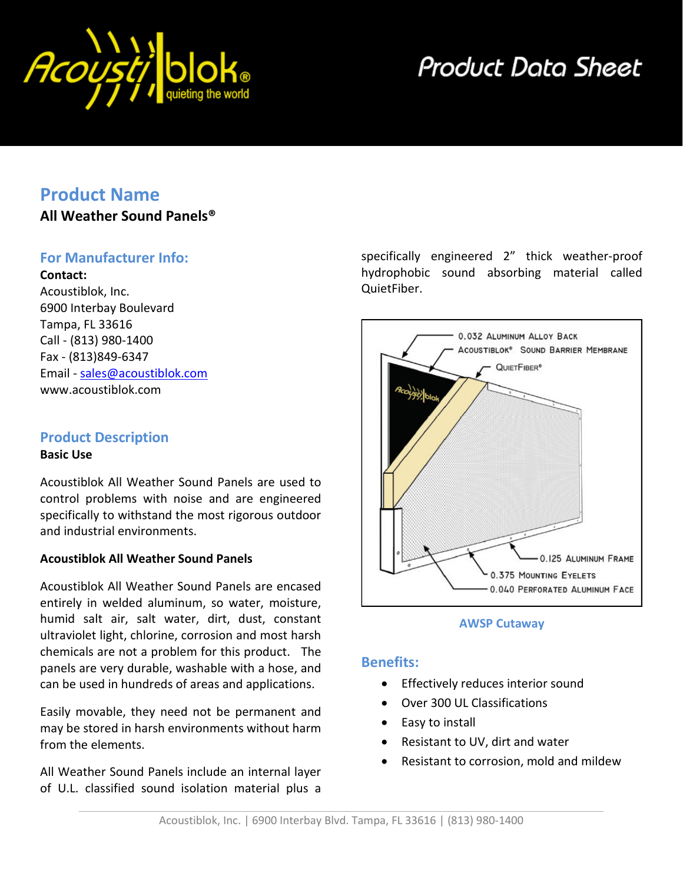

## **Product Name**

**All Weather Sound Panels®**

### **For Manufacturer Info:**

#### **Contact:**

Acoustiblok, Inc. 6900 Interbay Boulevard Tampa, FL 33616 Call - (813) 980-1400 Fax - (813)849-6347 Email - [sales@acoustiblok.com](mailto:sales@acoustiblok.com) www.acoustiblok.com

#### **Product Description Basic Use**

Acoustiblok All Weather Sound Panels are used to control problems with noise and are engineered specifically to withstand the most rigorous outdoor and industrial environments.

#### **Acoustiblok All Weather Sound Panels**

Acoustiblok All Weather Sound Panels are encased entirely in welded aluminum, so water, moisture, humid salt air, salt water, dirt, dust, constant ultraviolet light, chlorine, corrosion and most harsh chemicals are not a problem for this product. The panels are very durable, washable with a hose, and can be used in hundreds of areas and applications.

Easily movable, they need not be permanent and may be stored in harsh environments without harm from the elements.

All Weather Sound Panels include an internal layer of U.L. classified sound isolation material plus a specifically engineered 2" thick weather-proof hydrophobic sound absorbing material called QuietFiber.



#### **AWSP Cutaway**

#### **Benefits:**

- Effectively reduces interior sound
- Over 300 UL Classifications
- Easy to install
- Resistant to UV, dirt and water
- Resistant to corrosion, mold and mildew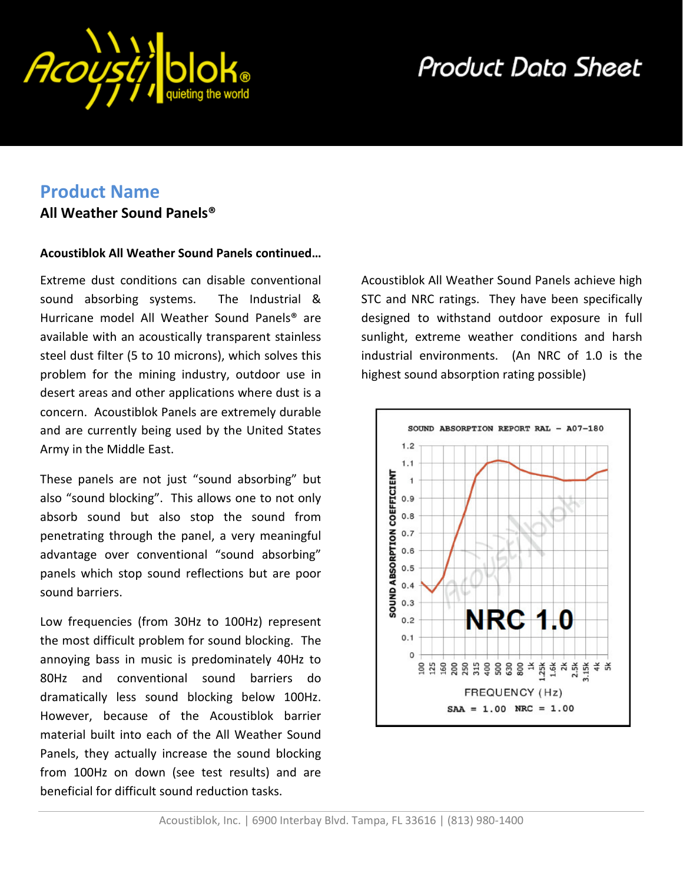

## **Product Name**

#### **All Weather Sound Panels®**

#### **Acoustiblok All Weather Sound Panels continued…**

Extreme dust conditions can disable conventional sound absorbing systems. The Industrial & Hurricane model All Weather Sound Panels® are available with an acoustically transparent stainless steel dust filter (5 to 10 microns), which solves this problem for the mining industry, outdoor use in desert areas and other applications where dust is a concern. Acoustiblok Panels are extremely durable and are currently being used by the United States Army in the Middle East.

These panels are not just "sound absorbing" but also "sound blocking". This allows one to not only absorb sound but also stop the sound from penetrating through the panel, a very meaningful advantage over conventional "sound absorbing" panels which stop sound reflections but are poor sound barriers.

Low frequencies (from 30Hz to 100Hz) represent the most difficult problem for sound blocking. The annoying bass in music is predominately 40Hz to 80Hz and conventional sound barriers do dramatically less sound blocking below 100Hz. However, because of the Acoustiblok barrier material built into each of the All Weather Sound Panels, they actually increase the sound blocking from 100Hz on down (see test results) and are beneficial for difficult sound reduction tasks.

Acoustiblok All Weather Sound Panels achieve high STC and NRC ratings. They have been specifically designed to withstand outdoor exposure in full sunlight, extreme weather conditions and harsh industrial environments. (An NRC of 1.0 is the highest sound absorption rating possible)

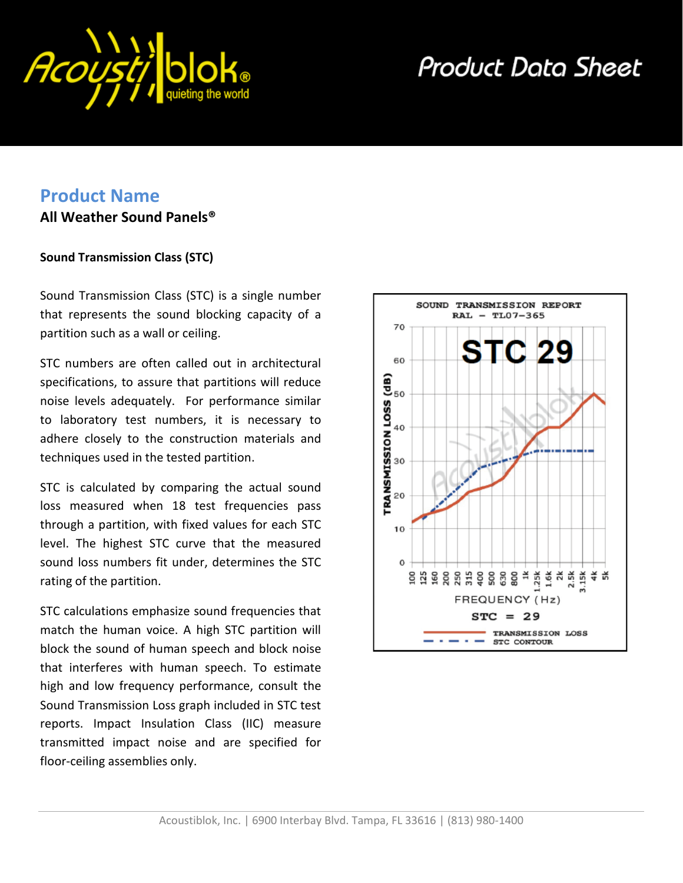

### **Product Name**

**All Weather Sound Panels®**

#### **Sound Transmission Class (STC)**

Sound Transmission Class (STC) is a single number that represents the sound blocking capacity of a partition such as a wall or ceiling.

STC numbers are often called out in architectural specifications, to assure that partitions will reduce noise levels adequately. For performance similar to laboratory test numbers, it is necessary to adhere closely to the construction materials and techniques used in the tested partition.

STC is calculated by comparing the actual sound loss measured when 18 test frequencies pass through a partition, with fixed values for each STC level. The highest STC curve that the measured sound loss numbers fit under, determines the STC rating of the partition.

STC calculations emphasize sound frequencies that match the human voice. A high STC partition will block the sound of human speech and block noise that interferes with human speech. To estimate high and low frequency performance, consult the Sound Transmission Loss graph included in STC test reports. Impact Insulation Class (IIC) measure transmitted impact noise and are specified for floor-ceiling assemblies only.